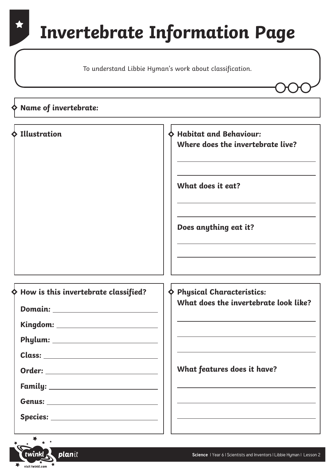### **Invertebrate Information Page**

To understand Libbie Hyman's work about classification.

| $\diamond$ Name of invertebrate:                                                                                                                                                                                  |                                                                                                                                                                         |
|-------------------------------------------------------------------------------------------------------------------------------------------------------------------------------------------------------------------|-------------------------------------------------------------------------------------------------------------------------------------------------------------------------|
| $\Diamond$ Illustration                                                                                                                                                                                           | <b>Habitat and Behaviour:</b><br>Where does the invertebrate live?<br>What does it eat?<br>Does anything eat it?                                                        |
| How is this invertebrate classified?<br>Kingdom: ____________________________<br>Phylum:<br>Order: ____________________________<br>Family: _____________________________<br>Species: ____________________________ | <b>Physical Characteristics:</b><br>What does the invertebrate look like?<br>What features does it have?<br><u> 1989 - Johann Stoff, amerikansk politiker (d. 1989)</u> |

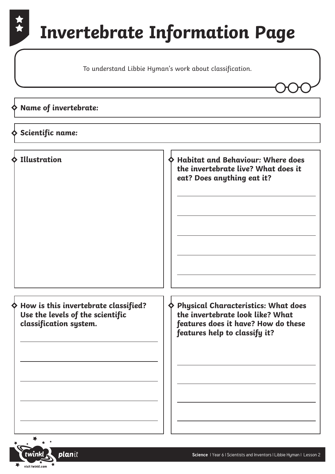## **Invertebrate Information Page**

To understand Libbie Hyman's work about classification.

#### **Name of invertebrate:**

#### **Scientific name:**

**Illustration Habitat and Behaviour: Where does the invertebrate live? What does it eat? Does anything eat it? How is this invertebrate classified? Use the levels of the scientific classification system. Physical Characteristics: What does the invertebrate look like? What features does it have? How do these features help to classify it?**